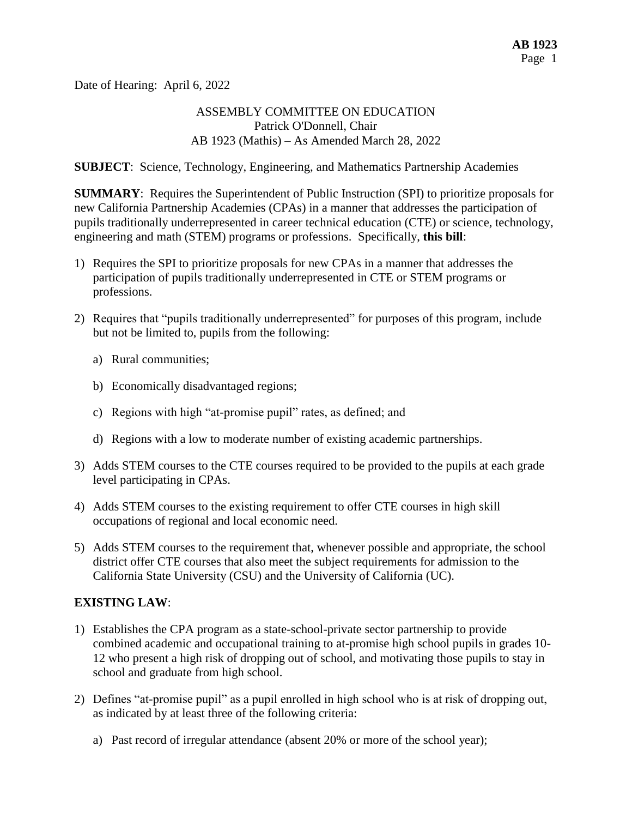Date of Hearing: April 6, 2022

## ASSEMBLY COMMITTEE ON EDUCATION Patrick O'Donnell, Chair AB 1923 (Mathis) – As Amended March 28, 2022

**SUBJECT**: Science, Technology, Engineering, and Mathematics Partnership Academies

**SUMMARY**: Requires the Superintendent of Public Instruction (SPI) to prioritize proposals for new California Partnership Academies (CPAs) in a manner that addresses the participation of pupils traditionally underrepresented in career technical education (CTE) or science, technology, engineering and math (STEM) programs or professions. Specifically, **this bill**:

- 1) Requires the SPI to prioritize proposals for new CPAs in a manner that addresses the participation of pupils traditionally underrepresented in CTE or STEM programs or professions.
- 2) Requires that "pupils traditionally underrepresented" for purposes of this program, include but not be limited to, pupils from the following:
	- a) Rural communities;
	- b) Economically disadvantaged regions;
	- c) Regions with high "at-promise pupil" rates, as defined; and
	- d) Regions with a low to moderate number of existing academic partnerships.
- 3) Adds STEM courses to the CTE courses required to be provided to the pupils at each grade level participating in CPAs.
- 4) Adds STEM courses to the existing requirement to offer CTE courses in high skill occupations of regional and local economic need.
- 5) Adds STEM courses to the requirement that, whenever possible and appropriate, the school district offer CTE courses that also meet the subject requirements for admission to the California State University (CSU) and the University of California (UC).

#### **EXISTING LAW**:

- 1) Establishes the CPA program as a state-school-private sector partnership to provide combined academic and occupational training to at-promise high school pupils in grades 10- 12 who present a high risk of dropping out of school, and motivating those pupils to stay in school and graduate from high school.
- 2) Defines "at-promise pupil" as a pupil enrolled in high school who is at risk of dropping out, as indicated by at least three of the following criteria:
	- a) Past record of irregular attendance (absent 20% or more of the school year);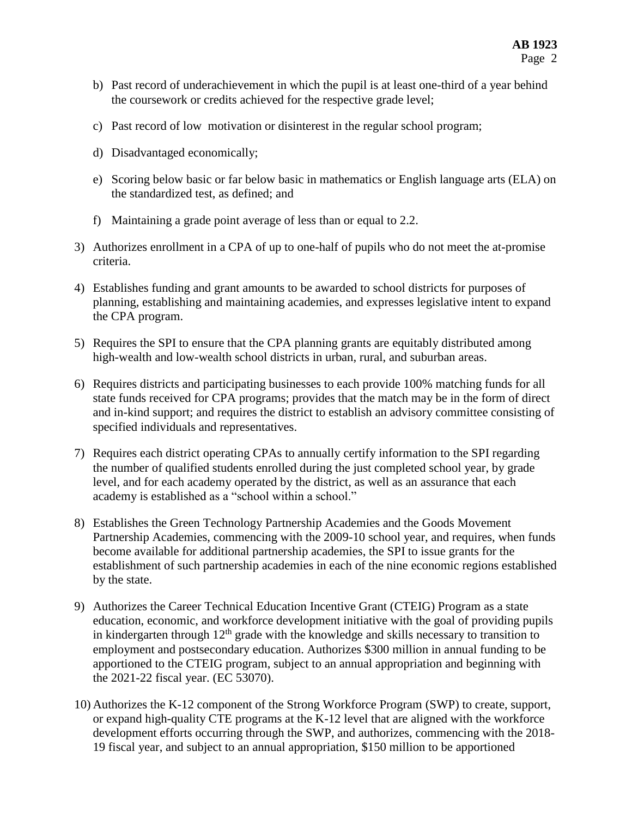- b) Past record of underachievement in which the pupil is at least one-third of a year behind the coursework or credits achieved for the respective grade level;
- c) Past record of low motivation or disinterest in the regular school program;
- d) Disadvantaged economically;
- e) Scoring below basic or far below basic in mathematics or English language arts (ELA) on the standardized test, as defined; and
- f) Maintaining a grade point average of less than or equal to 2.2.
- 3) Authorizes enrollment in a CPA of up to one-half of pupils who do not meet the at-promise criteria.
- 4) Establishes funding and grant amounts to be awarded to school districts for purposes of planning, establishing and maintaining academies, and expresses legislative intent to expand the CPA program.
- 5) Requires the SPI to ensure that the CPA planning grants are equitably distributed among high-wealth and low-wealth school districts in urban, rural, and suburban areas.
- 6) Requires districts and participating businesses to each provide 100% matching funds for all state funds received for CPA programs; provides that the match may be in the form of direct and in-kind support; and requires the district to establish an advisory committee consisting of specified individuals and representatives.
- 7) Requires each district operating CPAs to annually certify information to the SPI regarding the number of qualified students enrolled during the just completed school year, by grade level, and for each academy operated by the district, as well as an assurance that each academy is established as a "school within a school."
- 8) Establishes the Green Technology Partnership Academies and the Goods Movement Partnership Academies, commencing with the 2009-10 school year, and requires, when funds become available for additional partnership academies, the SPI to issue grants for the establishment of such partnership academies in each of the nine economic regions established by the state.
- 9) Authorizes the Career Technical Education Incentive Grant (CTEIG) Program as a state education, economic, and workforce development initiative with the goal of providing pupils in kindergarten through  $12<sup>th</sup>$  grade with the knowledge and skills necessary to transition to employment and postsecondary education. Authorizes \$300 million in annual funding to be apportioned to the CTEIG program, subject to an annual appropriation and beginning with the 2021-22 fiscal year. (EC 53070).
- 10) Authorizes the K-12 component of the Strong Workforce Program (SWP) to create, support, or expand high-quality CTE programs at the K-12 level that are aligned with the workforce development efforts occurring through the SWP, and authorizes, commencing with the 2018- 19 fiscal year, and subject to an annual appropriation, \$150 million to be apportioned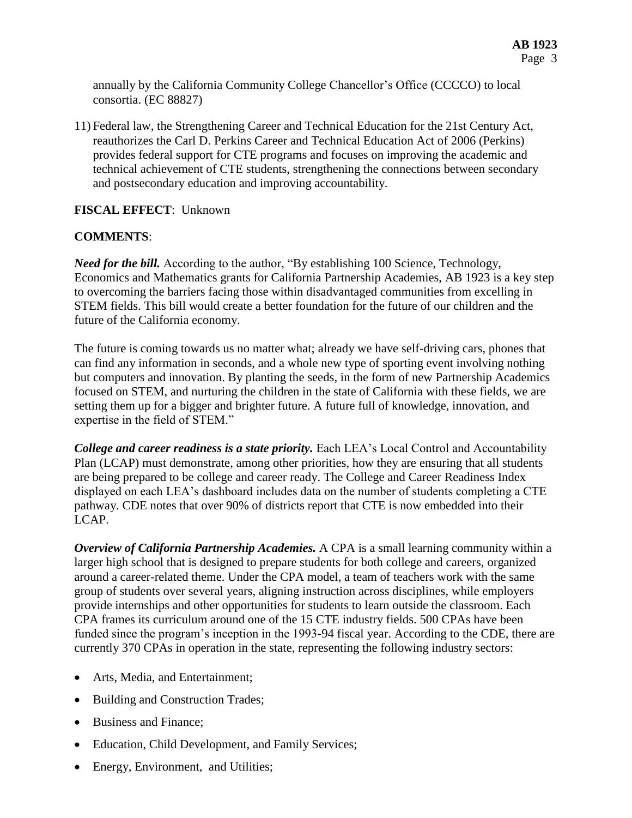annually by the California Community College Chancellor's Office (CCCCO) to local consortia. (EC 88827)

11) Federal law, the Strengthening Career and Technical Education for the 21st Century Act, reauthorizes the Carl D. Perkins Career and Technical Education Act of 2006 (Perkins) provides federal support for CTE programs and focuses on improving the academic and technical achievement of CTE students, strengthening the connections between secondary and postsecondary education and improving accountability.

## **FISCAL EFFECT**: Unknown

### **COMMENTS**:

*Need for the bill.* According to the author, "By establishing 100 Science, Technology, Economics and Mathematics grants for California Partnership Academies, AB 1923 is a key step to overcoming the barriers facing those within disadvantaged communities from excelling in STEM fields. This bill would create a better foundation for the future of our children and the future of the California economy.

The future is coming towards us no matter what; already we have self-driving cars, phones that can find any information in seconds, and a whole new type of sporting event involving nothing but computers and innovation. By planting the seeds, in the form of new Partnership Academics focused on STEM, and nurturing the children in the state of California with these fields, we are setting them up for a bigger and brighter future. A future full of knowledge, innovation, and expertise in the field of STEM."

*College and career readiness is a state priority.* Each LEA's Local Control and Accountability Plan (LCAP) must demonstrate, among other priorities, how they are ensuring that all students are being prepared to be college and career ready. The College and Career Readiness Index displayed on each LEA's dashboard includes data on the number of students completing a CTE pathway. CDE notes that over 90% of districts report that CTE is now embedded into their LCAP.

*Overview of California Partnership Academies.* A CPA is a small learning community within a larger high school that is designed to prepare students for both college and careers, organized around a career-related theme. Under the CPA model, a team of teachers work with the same group of students over several years, aligning instruction across disciplines, while employers provide internships and other opportunities for students to learn outside the classroom. Each CPA frames its curriculum around one of the 15 CTE industry fields. 500 CPAs have been funded since the program's inception in the 1993-94 fiscal year. According to the CDE, there are currently 370 CPAs in operation in the state, representing the following industry sectors:

- Arts, Media, and Entertainment;
- Building and Construction Trades;
- Business and Finance;
- Education, Child Development, and Family Services;
- Energy, Environment, and Utilities;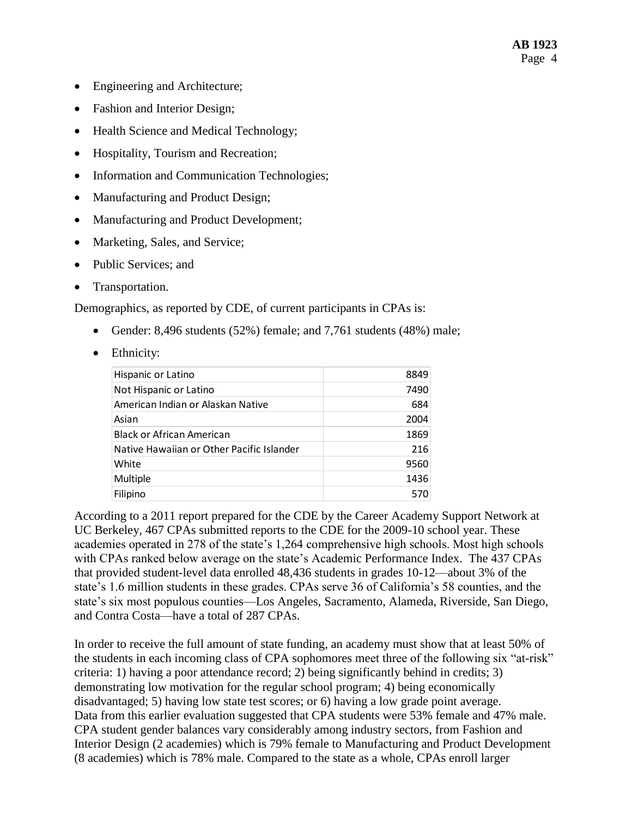- Engineering and Architecture;
- Fashion and Interior Design;
- Health Science and Medical Technology;
- Hospitality, Tourism and Recreation;
- Information and Communication Technologies;
- Manufacturing and Product Design;
- Manufacturing and Product Development;
- Marketing, Sales, and Service;
- Public Services; and
- Transportation.

Demographics, as reported by CDE, of current participants in CPAs is:

- Gender:  $8,496$  students (52%) female; and  $7,761$  students (48%) male;
- Ethnicity:

| Hispanic or Latino                        | 8849 |
|-------------------------------------------|------|
| Not Hispanic or Latino                    | 7490 |
| American Indian or Alaskan Native         | 684  |
| Asian                                     | 2004 |
| Black or African American                 | 1869 |
| Native Hawaiian or Other Pacific Islander | 216  |
| White                                     | 9560 |
| Multiple                                  | 1436 |
| Filipino                                  | 570  |

According to a 2011 report prepared for the CDE by the Career Academy Support Network at UC Berkeley, 467 CPAs submitted reports to the CDE for the 2009-10 school year. These academies operated in 278 of the state's 1,264 comprehensive high schools. Most high schools with CPAs ranked below average on the state's Academic Performance Index. The 437 CPAs that provided student-level data enrolled 48,436 students in grades 10-12—about 3% of the state's 1.6 million students in these grades. CPAs serve 36 of California's 58 counties, and the state's six most populous counties—Los Angeles, Sacramento, Alameda, Riverside, San Diego, and Contra Costa—have a total of 287 CPAs.

In order to receive the full amount of state funding, an academy must show that at least 50% of the students in each incoming class of CPA sophomores meet three of the following six "at-risk" criteria: 1) having a poor attendance record; 2) being significantly behind in credits; 3) demonstrating low motivation for the regular school program; 4) being economically disadvantaged; 5) having low state test scores; or 6) having a low grade point average. Data from this earlier evaluation suggested that CPA students were 53% female and 47% male. CPA student gender balances vary considerably among industry sectors, from Fashion and Interior Design (2 academies) which is 79% female to Manufacturing and Product Development (8 academies) which is 78% male. Compared to the state as a whole, CPAs enroll larger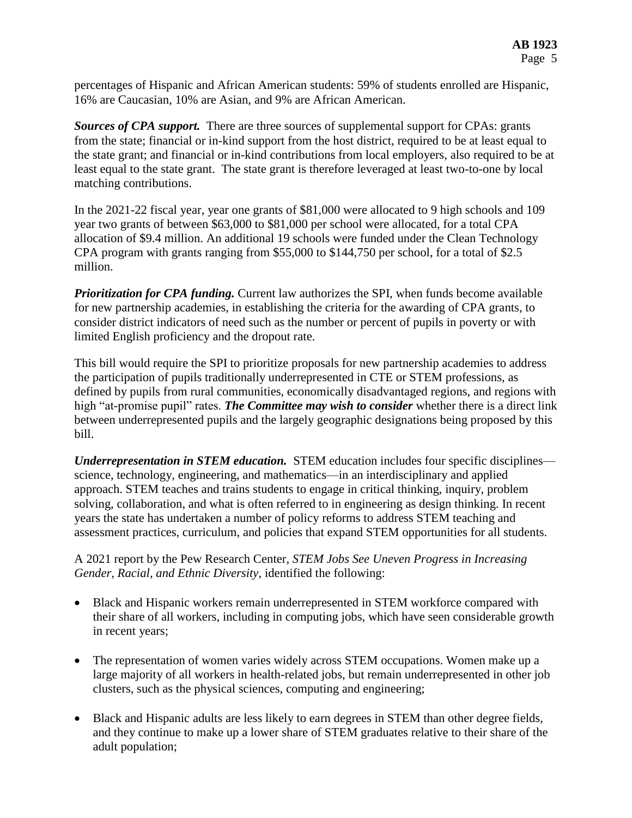percentages of Hispanic and African American students: 59% of students enrolled are Hispanic, 16% are Caucasian, 10% are Asian, and 9% are African American.

*Sources of CPA support.* There are three sources of supplemental support for CPAs: grants from the state; financial or in-kind support from the host district, required to be at least equal to the state grant; and financial or in-kind contributions from local employers, also required to be at least equal to the state grant. The state grant is therefore leveraged at least two-to-one by local matching contributions.

In the 2021-22 fiscal year, year one grants of \$81,000 were allocated to 9 high schools and 109 year two grants of between \$63,000 to \$81,000 per school were allocated, for a total CPA allocation of \$9.4 million. An additional 19 schools were funded under the Clean Technology CPA program with grants ranging from \$55,000 to \$144,750 per school, for a total of \$2.5 million.

*Prioritization for CPA funding.* Current law authorizes the SPI, when funds become available for new partnership academies, in establishing the criteria for the awarding of CPA grants, to consider district indicators of need such as the number or percent of pupils in poverty or with limited English proficiency and the dropout rate.

This bill would require the SPI to prioritize proposals for new partnership academies to address the participation of pupils traditionally underrepresented in CTE or STEM professions, as defined by pupils from rural communities, economically disadvantaged regions, and regions with high "at-promise pupil" rates. *The Committee may wish to consider* whether there is a direct link between underrepresented pupils and the largely geographic designations being proposed by this bill.

*Underrepresentation in STEM education.* STEM education includes four specific disciplines science, technology, engineering, and mathematics—in an interdisciplinary and applied approach. STEM teaches and trains students to engage in critical thinking, inquiry, problem solving, collaboration, and what is often referred to in engineering as design thinking. In recent years the state has undertaken a number of policy reforms to address STEM teaching and assessment practices, curriculum, and policies that expand STEM opportunities for all students.

### A 2021 report by the Pew Research Center, *STEM Jobs See Uneven Progress in Increasing Gender, Racial, and Ethnic Diversity,* identified the following:

- Black and Hispanic workers remain underrepresented in STEM workforce compared with their share of all workers, including in computing jobs, which have seen considerable growth in recent years;
- The representation of women varies widely across STEM occupations. Women make up a large majority of all workers in health-related jobs, but remain underrepresented in other job clusters, such as the physical sciences, computing and engineering;
- Black and Hispanic adults are less likely to earn degrees in STEM than other degree fields, and they continue to make up a lower share of STEM graduates relative to their share of the adult population;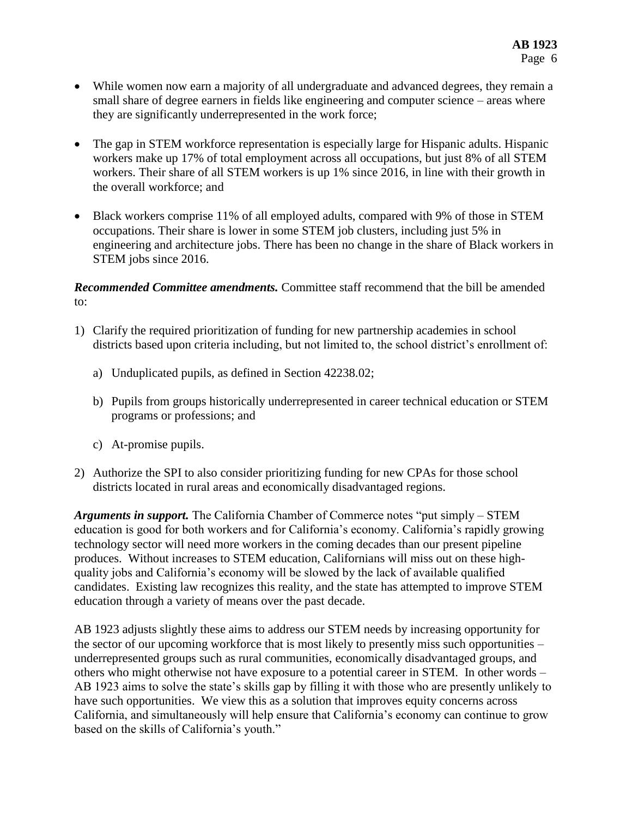- While women now earn a majority of all undergraduate and advanced degrees, they remain a small share of degree earners in fields like engineering and computer science – areas where they are significantly underrepresented in the work force;
- The gap in STEM workforce representation is especially large for Hispanic adults. Hispanic workers make up 17% of total employment across all occupations, but just 8% of all STEM workers. Their share of all STEM workers is up 1% since 2016, in line with their growth in the overall workforce; and
- Black workers comprise 11% of all employed adults, compared with 9% of those in STEM occupations. Their share is lower in some STEM job clusters, including just 5% in engineering and architecture jobs. There has been no change in the share of Black workers in STEM jobs since 2016.

*Recommended Committee amendments.* Committee staff recommend that the bill be amended to:

- 1) Clarify the required prioritization of funding for new partnership academies in school districts based upon criteria including, but not limited to, the school district's enrollment of:
	- a) Unduplicated pupils, as defined in Section 42238.02;
	- b) Pupils from groups historically underrepresented in career technical education or STEM programs or professions; and
	- c) At-promise pupils.
- 2) Authorize the SPI to also consider prioritizing funding for new CPAs for those school districts located in rural areas and economically disadvantaged regions.

*Arguments in support.* The California Chamber of Commerce notes "put simply – STEM education is good for both workers and for California's economy. California's rapidly growing technology sector will need more workers in the coming decades than our present pipeline produces. Without increases to STEM education, Californians will miss out on these highquality jobs and California's economy will be slowed by the lack of available qualified candidates. Existing law recognizes this reality, and the state has attempted to improve STEM education through a variety of means over the past decade.

AB 1923 adjusts slightly these aims to address our STEM needs by increasing opportunity for the sector of our upcoming workforce that is most likely to presently miss such opportunities – underrepresented groups such as rural communities, economically disadvantaged groups, and others who might otherwise not have exposure to a potential career in STEM. In other words – AB 1923 aims to solve the state's skills gap by filling it with those who are presently unlikely to have such opportunities. We view this as a solution that improves equity concerns across California, and simultaneously will help ensure that California's economy can continue to grow based on the skills of California's youth."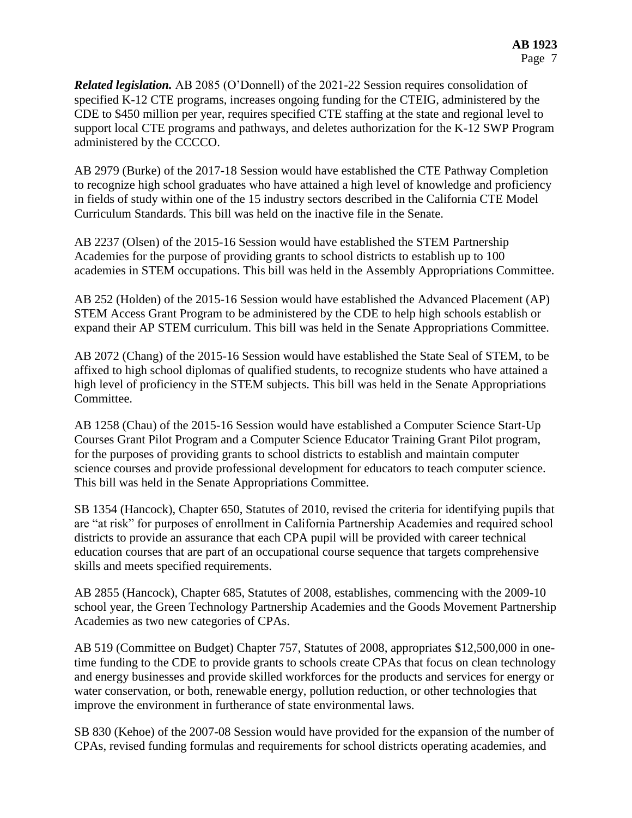*Related legislation.* AB 2085 (O'Donnell) of the 2021-22 Session requires consolidation of specified K-12 CTE programs, increases ongoing funding for the CTEIG, administered by the CDE to \$450 million per year, requires specified CTE staffing at the state and regional level to support local CTE programs and pathways, and deletes authorization for the K-12 SWP Program administered by the CCCCO.

AB 2979 (Burke) of the 2017-18 Session would have established the CTE Pathway Completion to recognize high school graduates who have attained a high level of knowledge and proficiency in fields of study within one of the 15 industry sectors described in the California CTE Model Curriculum Standards. This bill was held on the inactive file in the Senate.

AB 2237 (Olsen) of the 2015-16 Session would have established the STEM Partnership Academies for the purpose of providing grants to school districts to establish up to 100 academies in STEM occupations. This bill was held in the Assembly Appropriations Committee.

AB 252 (Holden) of the 2015-16 Session would have established the Advanced Placement (AP) STEM Access Grant Program to be administered by the CDE to help high schools establish or expand their AP STEM curriculum. This bill was held in the Senate Appropriations Committee.

AB 2072 (Chang) of the 2015-16 Session would have established the State Seal of STEM, to be affixed to high school diplomas of qualified students, to recognize students who have attained a high level of proficiency in the STEM subjects. This bill was held in the Senate Appropriations Committee.

AB 1258 (Chau) of the 2015-16 Session would have established a Computer Science Start-Up Courses Grant Pilot Program and a Computer Science Educator Training Grant Pilot program, for the purposes of providing grants to school districts to establish and maintain computer science courses and provide professional development for educators to teach computer science. This bill was held in the Senate Appropriations Committee.

SB 1354 (Hancock), Chapter 650, Statutes of 2010, revised the criteria for identifying pupils that are "at risk" for purposes of enrollment in California Partnership Academies and required school districts to provide an assurance that each CPA pupil will be provided with career technical education courses that are part of an occupational course sequence that targets comprehensive skills and meets specified requirements.

AB 2855 (Hancock), Chapter 685, Statutes of 2008, establishes, commencing with the 2009-10 school year, the Green Technology Partnership Academies and the Goods Movement Partnership Academies as two new categories of CPAs.

AB 519 (Committee on Budget) Chapter 757, Statutes of 2008, appropriates \$12,500,000 in onetime funding to the CDE to provide grants to schools create CPAs that focus on clean technology and energy businesses and provide skilled workforces for the products and services for energy or water conservation, or both, renewable energy, pollution reduction, or other technologies that improve the environment in furtherance of state environmental laws.

SB 830 (Kehoe) of the 2007-08 Session would have provided for the expansion of the number of CPAs, revised funding formulas and requirements for school districts operating academies, and